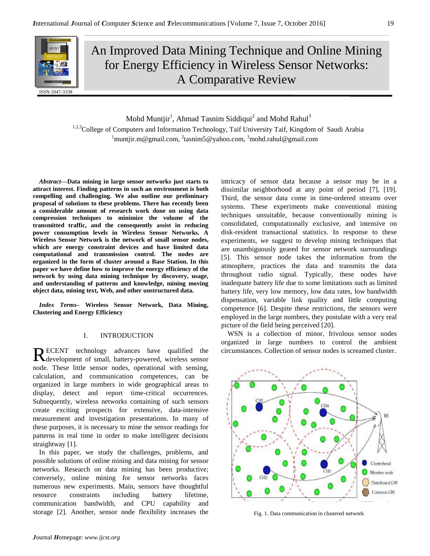

An Improved Data Mining Technique and Online Mining for Energy Efficiency in Wireless Sensor Networks: A Comparative Review

Mohd Muntjir<sup>1</sup>, Ahmad Tasnim Siddiqui<sup>2</sup> and Mohd Rahul<sup>3</sup> 1,2,3 College of Computers and Information Technology, Taif University Taif, Kingdom of Saudi Arabia <sup>1</sup>muntjir.m@gmail.com, <sup>2</sup>tasnim5@yahoo.com, <sup>3</sup>mohd.rahul@gmail.com

*Abstract***—Data mining in large sensor networks just starts to attract interest. Finding patterns in such an environment is both compelling and challenging. We also outline our preliminary proposal of solutions to these problems. There has recently been a considerable amount of research work done on using data compression techniques to minimize the volume of the transmitted traffic, and the consequently assist in reducing power consumption levels in Wireless Sensor Networks. A Wireless Sensor Network is the network of small sensor nodes, which are energy constraint devices and have limited data computational and transmission control. The nodes are organized in the form of cluster around a Base Station. In this paper we have define how to improve the energy efficiency of the network by using data mining technique by discovery, usage, and understanding of patterns and knowledge, mining moving object data, mining text, Web, and other unstructured data.**

*Index Terms–* **Wireless Sensor Network, Data Mining, Clustering and Energy Efficiency**

## I. INTRODUCTION

ECENT technology advances have qualified the RECENT technology advances have qualified the Redevelopment of small, battery-powered, wireless sensor node. These little sensor nodes, operational with sensing, calculation, and communication competences, can be organized in large numbers in wide geographical areas to display, detect and report time-critical occurrences. Subsequently, wireless networks containing of such sensors create exciting prospects for extensive, data-intensive measurement and investigation presentations. In many of these purposes, it is necessary to mine the sensor readings for patterns in real time in order to make intelligent decisions straightway [1].

In this paper, we study the challenges, problems, and possible solutions of online mining and data mining for sensor networks. Research on data mining has been productive; conversely, online mining for sensor networks faces numerous new experiments. Main, sensors have thoughtful resource constraints including battery lifetime, communication bandwidth, and CPU capability and storage [2]. Another, sensor node flexibility increases the

intricacy of sensor data because a sensor may be in a dissimilar neighborhood at any point of period [7], [19]. Third, the sensor data come in time-ordered streams over systems. These experiments make conventional mining techniques unsuitable, because conventionally mining is consolidated, computationally exclusive, and intensive on disk-resident transactional statistics. In response to these experiments, we suggest to develop mining techniques that are unambiguously geared for sensor network surroundings [5]. This sensor node takes the information from the atmosphere, practices the data and transmits the data throughout radio signal. Typically, these nodes have inadequate battery life due to some limitations such as limited battery life, very low memory, low data rates, low bandwidth dispensation, variable link quality and little computing competence [6]. Despite these restrictions, the sensors were employed in the large numbers, they postulate with a very real picture of the field being perceived [20].

WSN is a collection of minor, frivolous sensor nodes organized in large numbers to control the ambient circumstances. Collection of sensor nodes is screamed cluster.



Fig. 1. Data communication in clustered network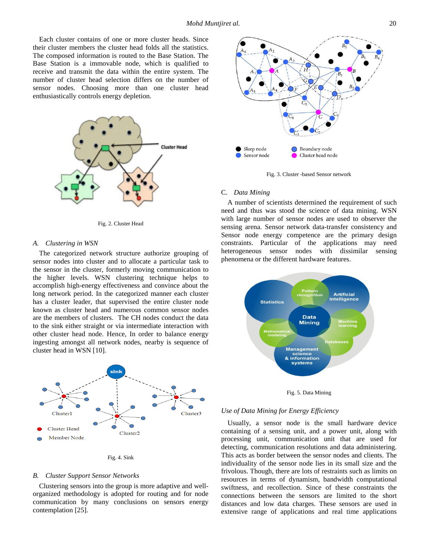Each cluster contains of one or more cluster heads. Since their cluster members the cluster head folds all the statistics. The composed information is routed to the Base Station. The Base Station is a immovable node, which is qualified to receive and transmit the data within the entire system. The number of cluster head selection differs on the number of sensor nodes. Choosing more than one cluster head enthusiastically controls energy depletion.



Fig. 2. Cluster Head

### *A. Clustering in WSN*

The categorized network structure authorize grouping of sensor nodes into cluster and to allocate a particular task to the sensor in the cluster, formerly moving communication to the higher levels. WSN clustering technique helps to accomplish high-energy effectiveness and convince about the long network period. In the categorized manner each cluster has a cluster leader, that supervised the entire cluster node known as cluster head and numerous common sensor nodes are the members of clusters. The CH nodes conduct the data to the sink either straight or via intermediate interaction with other cluster head node. Hence, In order to balance energy ingesting amongst all network nodes, nearby is sequence of cluster head in WSN [10].



Fig. 4. Sink

#### *B. Cluster Support Sensor Networks*

Clustering sensors into the group is more adaptive and wellorganized methodology is adopted for routing and for node communication by many conclusions on sensors energy contemplation [25].



Fig. 3. Cluster -based Sensor network

### C. *Data Mining*

A number of scientists determined the requirement of such need and thus was stood the science of data mining. WSN with large number of sensor nodes are used to observer the sensing arena. Sensor network data-transfer consistency and Sensor node energy competence are the primary design constraints. Particular of the applications may need heterogeneous sensor nodes with dissimilar sensing phenomena or the different hardware features.



Fig. 5. Data Mining

### *Use of Data Mining for Energy Efficiency*

Usually, a sensor node is the small hardware device containing of a sensing unit, and a power unit, along with processing unit, communication unit that are used for detecting, communication resolutions and data administering. This acts as border between the sensor nodes and clients. The individuality of the sensor node lies in its small size and the frivolous. Though, there are lots of restraints such as limits on resources in terms of dynamism, bandwidth computational swiftness, and recollection. Since of these constraints the connections between the sensors are limited to the short distances and low data charges. These sensors are used in extensive range of applications and real time applications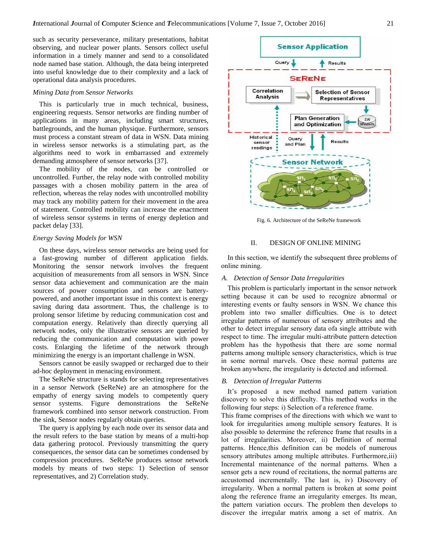such as security perseverance, military presentations, habitat observing, and nuclear power plants. Sensors collect useful information in a timely manner and send to a consolidated node named base station. Although, the data being interpreted into useful knowledge due to their complexity and a lack of operational data analysis procedures.

## *Mining Data from Sensor Networks*

This is particularly true in much technical, business, engineering requests. Sensor networks are finding number of applications in many areas, including smart structures, battlegrounds, and the human physique. Furthermore, sensors must process a constant stream of data in WSN. Data mining in wireless sensor networks is a stimulating part, as the algorithms need to work in embarrassed and extremely demanding atmosphere of sensor networks [37].

The mobility of the nodes, can be controlled or uncontrolled. Further, the relay node with controlled mobility passages with a chosen mobility pattern in the area of reflection, whereas the relay nodes with uncontrolled mobility may track any mobility pattern for their movement in the area of statement. Controlled mobility can increase the enactment of wireless sensor systems in terms of energy depletion and packet delay [33].

## *Energy Saving Models for WSN*

On these days, wireless sensor networks are being used for a fast-growing number of different application fields. Monitoring the sensor network involves the frequent acquisition of measurements from all sensors in WSN. Since sensor data achievement and communication are the main sources of power consumption and sensors are batterypowered, and another important issue in this context is energy saving during data assortment. Thus, the challenge is to prolong sensor lifetime by reducing communication cost and computation energy. Relatively than directly querying all network nodes, only the illustrative sensors are queried by reducing the communication and computation with power costs. Enlarging the lifetime of the network through minimizing the energy is an important challenge in WSN.

Sensors cannot be easily swapped or recharged due to their ad-hoc deployment in menacing environment.

The SeReNe structure is stands for selecting representatives in a sensor Network (SeReNe) are an atmosphere for the empathy of energy saving models to competently query sensor systems. Figure demonstrations the SeReNe framework combined into sensor network construction. From the sink, Sensor nodes regularly obtain queries.

The query is applying by each node over its sensor data and the result refers to the base station by means of a multi-hop data gathering protocol. Previously transmitting the query consequences, the sensor data can be sometimes condensed by compression procedures. SeReNe produces sensor network models by means of two steps: 1) Selection of sensor representatives, and 2) Correlation study.



Fig. 6. Architecture of the SeReNe framework

## II. DESIGN OF ONLINE MINING

In this section, we identify the subsequent three problems of online mining.

## *A. Detection of Sensor Data Irregularities*

This problem is particularly important in the sensor network setting because it can be used to recognize abnormal or interesting events or faulty sensors in WSN. We chance this problem into two smaller difficulties. One is to detect irregular patterns of numerous of sensory attributes and the other to detect irregular sensory data ofa single attribute with respect to time. The irregular multi-attribute pattern detection problem has the hypothesis that there are some normal patterns among multiple sensory characteristics, which is true in some normal marvels. Once these normal patterns are broken anywhere, the irregularity is detected and informed.

#### *B. Detection of Irregular Patterns*

It's proposed a new method named pattern variation discovery to solve this difficulty. This method works in the following four steps: i) Selection of a reference frame.

This frame comprises of the directions with which we want to look for irregularities among multiple sensory features. It is also possible to determine the reference frame that results in a lot of irregularities. Moreover, ii) Definition of normal patterns. Hence,this definition can be models of numerous sensory attributes among multiple attributes. Furthermore, iii) Incremental maintenance of the normal patterns. When a sensor gets a new round of recitations, the normal patterns are accustomed incrementally. The last is, iv) Discovery of irregularity. When a normal pattern is broken at some point along the reference frame an irregularity emerges. Its mean, the pattern variation occurs. The problem then develops to discover the irregular matrix among a set of matrix. An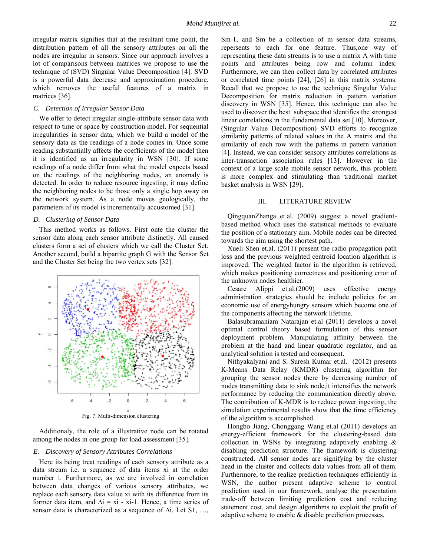irregular matrix signifies that at the resultant time point, the distribution pattern of all the sensory attributes on all the nodes are irregular in sensors. Since our approach involves a lot of comparisons between matrices we propose to use the technique of (SVD) Singular Value Decomposition [4]. SVD is a powerful data decrease and approximation procedure, which removes the useful features of a matrix in matrices [36].

## *C. Detection of Irregular Sensor Data*

We offer to detect irregular single-attribute sensor data with respect to time or space by construction model. For sequential irregularities in sensor data, which we build a model of the sensory data as the readings of a node comes in. Once some reading substantially affects the coefficients of the model then it is identified as an irregularity in WSN [30]. If some readings of a node differ from what the model expects based on the readings of the neighboring nodes, an anomaly is detected. In order to reduce resource ingesting, it may define the neighboring nodes to be those only a single hop away on the network system. As a node moves geologically, the parameters of its model is incrementally accustomed [31].

# *D. Clustering of Sensor Data*

This method works as follows. First onte the cluster the sensor data along each sensor attribute distinctly. All caused clusters form a set of clusters which we call the Cluster Set. Another second, build a bipartite graph G with the Sensor Set and the Cluster Set being the two vertex sets [32].



Fig. 7. Multi-dimension clustering

Additionaly, the role of a illustrative node can be rotated among the nodes in one group for load assessment [35].

## *E. Discovery of Sensory Attributes Correlations*

Here its being treat readings of each sensory attribute as a data stream i.e. a sequence of data items xi at the order number i. Furthermore, as we are involved in correlation between data changes of various sensory attributes, we replace each sensory data value xi with its difference from its former data item, and  $\Delta i = x\mathbf{i} - x\mathbf{j} - 1$ . Hence, a time series of sensor data is characterized as a sequence of ∆i. Let S1, ...,

Sm-1, and Sm be a collection of m sensor data streams, repersents to each for one feature. Thus,one way of representing these data streams is to use a matrix A with time points and attributes being row and column index. Furthermore, we can then collect data by correlated attributes or correlated time points [24], [26] in this matrix systems. Recall that we propose to use the technique Singular Value Decomposition for matrix reduction in pattern variation discovery in WSN [35]. Hence, this technique can also be used to discover the best subspace that identifies the strongest linear correlations in the fundamental data set [10]. Moreover, (Singular Value Decomposition) SVD efforts to recognize similarity patterns of related values in the A matrix and the similarity of each row with the patterns in pattern variation [4]. Instead, we can consider sensory attributes correlations as inter-transaction association rules [13]. However in the context of a large-scale mobile sensor network, this problem is more complex and stimulating than traditional market basket analysis in WSN [29].

## III. LITERATURE REVIEW

QingquanZhanga et.al. (2009) suggest a novel gradientbased method which uses the statistical methods to evaluate the position of a stationary aim. Mobile nodes can be directed towards the aim using the shortest path.

Xueli Shen et.al. (2011) present the radio propagation path loss and the previous weighted centroid location algorithm is improved. The weighted factor in the algorithm is retrieved, which makes positioning correctness and positioning error of the unknown nodes healthier.

Cesare Alippi et.al.(2009) uses effective energy administration strategies should be include policies for an economic use of energyhungry sensors which become one of the components affecting the network lifetime.

Balasubramaniam Natarajan et.al (2011) develops a novel optimal control theory based formulation of this sensor deployment problem. Manipulating affinity between the problem at the hand and linear quadratic regulator, and an analytical solution is tested and consequent.

Nithyakalyani and S. Suresh Kumar et.al. (2012) presents K-Means Data Relay (KMDR) clustering algorithm for grouping the sensor nodes there by decreasing number of nodes transmitting data to sink node,it intensifies the network performance by reducing the communication directly above. The contribution of K-MDR is to reduce power ingesting; the simulation experimental results show that the time efficiency of the algorithm is accomplished.

Hongbo Jiang, Chonggang Wang et.al (2011) develops an energy-efficient framework for the clustering-based data collection in WSNs by integrating adaptively enabling & disabling prediction structure. The framework is clustering constructed. All sensor nodes are signifying by the cluster head in the cluster and collects data values from all of them. Furthermore, to the realize prediction techniques efficiently in WSN, the author present adaptive scheme to control prediction used in our framework, analyse the presentation trade-off between limiting prediction cost and reducing statement cost, and design algorithms to exploit the profit of adaptive scheme to enable & disable prediction processes.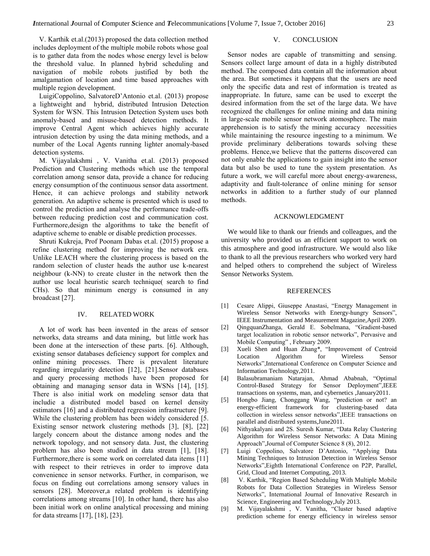V. Karthik et.al.(2013) proposed the data collection method includes deployment of the multiple mobile robots whose goal is to gather data from the nodes whose energy level is below the threshold value. In planned hybrid scheduling and navigation of mobile robots justified by both the amalgamation of location and time based approaches with multiple region development.

LuigiCoppolino, SalvatoreD'Antonio et.al. (2013) propose a lightweight and hybrid, distributed Intrusion Detection System for WSN. This Intrusion Detection System uses both anomaly-based and misuse-based detection methods. It improve Central Agent which achieves highly accurate intrusion detection by using the data mining methods, and a number of the Local Agents running lighter anomaly-based detection systems.

M. Vijayalakshmi , V. Vanitha et.al. (2013) proposed Prediction and Clustering methods which use the temporal correlation among sensor data, provide a chance for reducing energy consumption of the continuous sensor data assortment. Hence, it can achieve prolongs and stability network generation. An adaptive scheme is presented which is used to control the prediction and analyse the performance trade-offs between reducing prediction cost and communication cost. Furthermore,design the algorithms to take the benefit of adaptive scheme to enable or disable prediction processes.

Shruti Kukreja, Prof Poonam Dabas et.al. (2015) propose a refine clustering method for improving the network era. Unlike LEACH where the clustering process is based on the random selection of cluster heads the author use k-nearest neighbour (k-NN) to create cluster in the network then the author use local heuristic search technique( search to find CHs). So that minimum energy is consumed in any broadcast [27].

## IV. RELATED WORK

A lot of work has been invented in the areas of sensor networks, data streams and data mining, but little work has been done at the intersection of these parts. [6]. Although, existing sensor databases deficiency support for complex and online mining processes. There is prevalent literature regarding irregularity detection [12], [21].Sensor databases and query processing methods have been proposed for obtaining and managing sensor data in WSNs [14], [15]. There is also initial work on modeling sensor data that includie a distributed model based on kernel density estimators [16] and a distributed regression infrastructure [9]. While the clustering problem has been widely considered [5. Existing sensor network clustering methods [3], [8], [22] largely concern about the distance among nodes and the network topology, and not sensory data. Just, the clustering problem has also been studied in data stream [1], [18]. Furthermore,there is some work on correlated data items [11] with respect to their retrieves in order to improve data convenience in sensor networks. Further, in comparison, we focus on finding out correlations among sensory values in sensors [28]. Moreover,a related problem is identifying correlations among streams [10]. In other hand, there has also been initial work on online analytical processing and mining for data streams [17], [18], [23].

# V. CONCLUSION

Sensor nodes are capable of transmitting and sensing. Sensors collect large amount of data in a highly distributed method. The composed data contain all the information about the area. But sometimes it happens that the users are need only the specific data and rest of information is treated as inappropriate. In future, same can be used to excerpt the desired information from the set of the large data. We have recognized the challenges for online mining and data mining in large-scale mobile sensor network atomosphere. The main apprehension is to satisfy the mining accuracy necessities while maintaining the resource ingesting to a minimum. We provide preliminary deliberations towards solving these problems. Hence,we believe that the patterns discovered can not only enable the applications to gain insight into the sensor data but also be used to tune the system presentation. As future a work, we will careful more about energy-awareness, adaptivity and fault-tolerance of online mining for sensor networks in addition to a further study of our planned methods.

## ACKNOWLEDGMENT

We would like to thank our friends and colleagues, and the university who provided us an efficient support to work on this atmosphere and good infrastructure. We would also like to thank to all the previous researchers who worked very hard and helped others to comprehend the subject of Wireless Sensor Networks System.

#### REFERENCES

- [1] Cesare Alippi, Giuseppe Anastasi, "Energy Management in Wireless Sensor Networks with Energy-hungry Sensors", IEEE Instrumentation and Measurement Magazine,April 2009.
- [2] QingquanZhanga, Gerald E. Sobelmana, "Gradient-based target localization in robotic sensor networks", Pervasive and Mobile Computing" , February 2009.
- [3] Xueli Shen and Huan Zhang\*, "Improvement of Centroid Location Algorithm for Wireless Sensor Networks",International Conference on Computer Science and Information Technology,2011.
- [4] Balasubramaniam Natarajan, Ahmad Ababnah, "Optimal Control-Based Strategy for Sensor Deployment",IEEE transactions on systems, man, and cybernetics ,January2011.
- [5] Hongbo Jiang, Chonggang Wang, "prediction or not? an energy-efficient framework for clustering-based data collection in wireless sensor networks",IEEE transactions on parallel and distributed systems,June2011.
- [6] Nithyakalyani and 2S. Suresh Kumar, "Data Relay Clustering Algorithm for Wireless Sensor Networks: A Data Mining Approach",Journal of Computer Science 8 (8), 2012.
- [7] Luigi Coppolino, Salvatore D'Antonio, "Applying Data Mining Techniques to Intrusion Detection in Wireless Sensor Networks",Eighth International Conference on P2P, Parallel, Grid, Cloud and Internet Computing, 2013.
- [8] V. Karthik, "Region Based Scheduling With Multiple Mobile Robots for Data Collection Strategies in Wireless Sensor Networks", International Journal of Innovative Research in Science, Engineering and Technology,July 2013.
- [9] M. Vijayalakshmi , V. Vanitha, "Cluster based adaptive prediction scheme for energy efficiency in wireless sensor